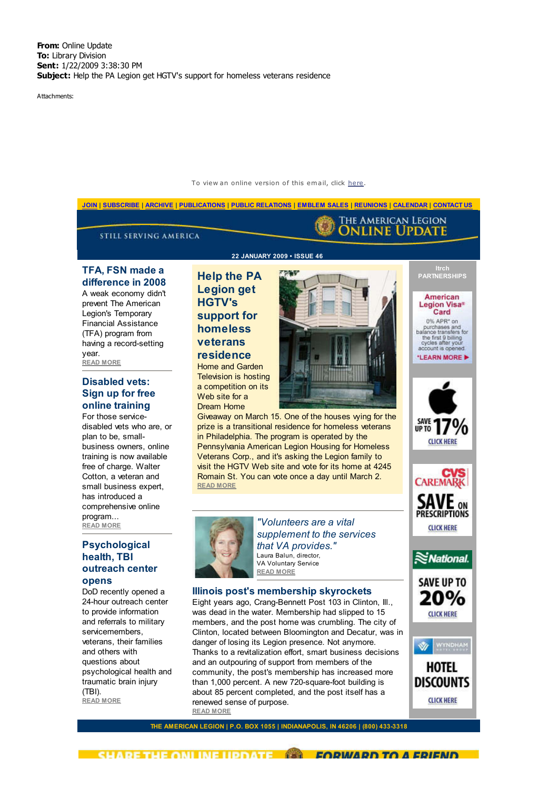Attachments:



To view an online version of this email, click here.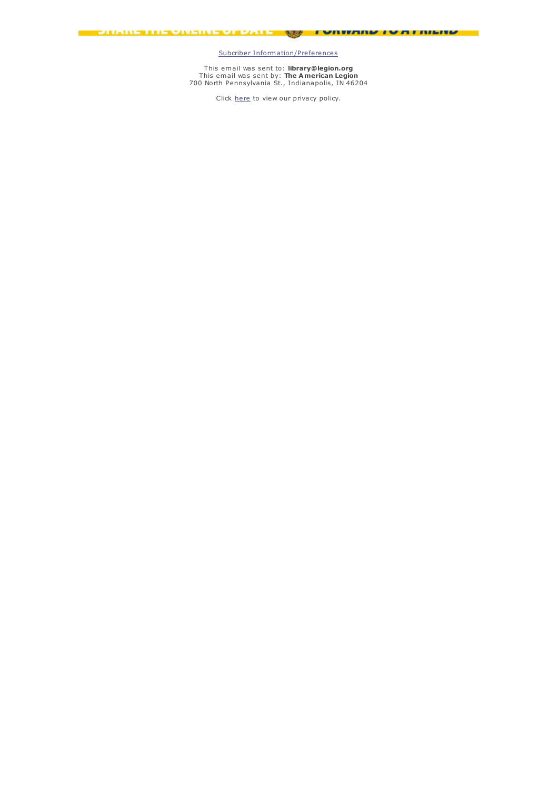Subcriber Information/Preferences

 $\sim$ 

I AURUMNA I AU HIPID

<u> Pulaun bili van Finland Sales – </u>

This em ail was sent to: **library@legion.org** This em ail was sent by: **The American Legion** 700 North Pennsylvania St., Indianapolis, IN 46204

Click here to view our privacy policy.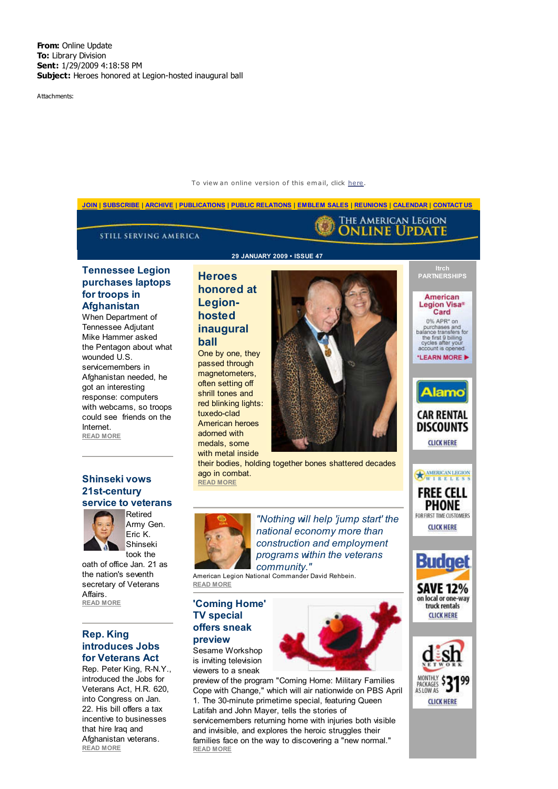Attachments:



incentive to businesses that hire Iraq and Afghanistan veterans. **READ MORE**

servicemembers returning home with injuries both visible and invisible, and explores the heroic struggles their families face on the way to discovering a "new normal." **READ MORE**

## To view an online version of this email, click here.